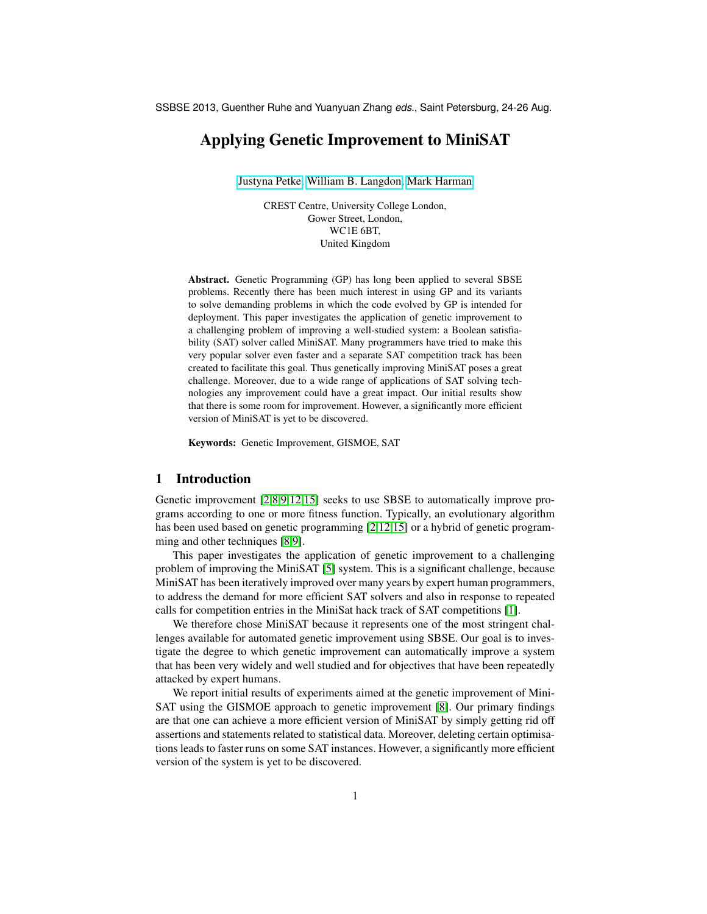# Applying Genetic Improvement to MiniSAT

[Justyna Petke,](http://www.cs.ucl.ac.uk/people/J.Petke.html) [William B. Langdon,](http://www.cs.ucl.ac.uk/staff/W.Langdon/) [Mark Harman](http://www.cs.ucl.ac.uk/staff/M.Harman/)

CREST Centre, University College London, Gower Street, London, WC1E 6BT, United Kingdom

Abstract. Genetic Programming (GP) has long been applied to several SBSE problems. Recently there has been much interest in using GP and its variants to solve demanding problems in which the code evolved by GP is intended for deployment. This paper investigates the application of genetic improvement to a challenging problem of improving a well-studied system: a Boolean satisfiability (SAT) solver called MiniSAT. Many programmers have tried to make this very popular solver even faster and a separate SAT competition track has been created to facilitate this goal. Thus genetically improving MiniSAT poses a great challenge. Moreover, due to a wide range of applications of SAT solving technologies any improvement could have a great impact. Our initial results show that there is some room for improvement. However, a significantly more efficient version of MiniSAT is yet to be discovered.

Keywords: Genetic Improvement, GISMOE, SAT

#### 1 Introduction

Genetic improvement [\[2](#page-5-0)[,8](#page-5-1)[,9](#page-5-2)[,12](#page-5-3)[,15\]](#page-5-4) seeks to use SBSE to automatically improve programs according to one or more fitness function. Typically, an evolutionary algorithm has been used based on genetic programming [\[2](#page-5-0)[,12](#page-5-3)[,15\]](#page-5-4) or a hybrid of genetic programming and other techniques [\[8](#page-5-1)[,9\]](#page-5-2).

This paper investigates the application of genetic improvement to a challenging problem of improving the MiniSAT [\[5\]](#page-5-5) system. This is a significant challenge, because MiniSAT has been iteratively improved over many years by expert human programmers, to address the demand for more efficient SAT solvers and also in response to repeated calls for competition entries in the MiniSat hack track of SAT competitions [\[1\]](#page-5-6).

We therefore chose MiniSAT because it represents one of the most stringent challenges available for automated genetic improvement using SBSE. Our goal is to investigate the degree to which genetic improvement can automatically improve a system that has been very widely and well studied and for objectives that have been repeatedly attacked by expert humans.

We report initial results of experiments aimed at the genetic improvement of Mini-SAT using the GISMOE approach to genetic improvement [\[8\]](#page-5-1). Our primary findings are that one can achieve a more efficient version of MiniSAT by simply getting rid off assertions and statements related to statistical data. Moreover, deleting certain optimisations leads to faster runs on some SAT instances. However, a significantly more efficient version of the system is yet to be discovered.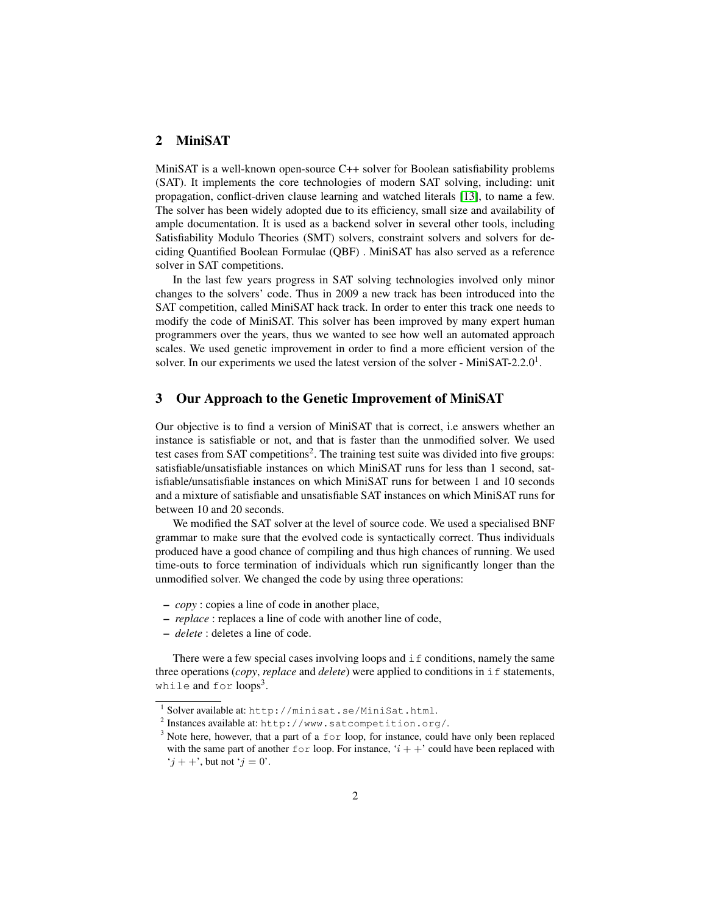## 2 MiniSAT

MiniSAT is a well-known open-source C++ solver for Boolean satisfiability problems (SAT). It implements the core technologies of modern SAT solving, including: unit propagation, conflict-driven clause learning and watched literals [\[13\]](#page-5-7), to name a few. The solver has been widely adopted due to its efficiency, small size and availability of ample documentation. It is used as a backend solver in several other tools, including Satisfiability Modulo Theories (SMT) solvers, constraint solvers and solvers for deciding Quantified Boolean Formulae (QBF) . MiniSAT has also served as a reference solver in SAT competitions.

In the last few years progress in SAT solving technologies involved only minor changes to the solvers' code. Thus in 2009 a new track has been introduced into the SAT competition, called MiniSAT hack track. In order to enter this track one needs to modify the code of MiniSAT. This solver has been improved by many expert human programmers over the years, thus we wanted to see how well an automated approach scales. We used genetic improvement in order to find a more efficient version of the solver. In our experiments we used the latest version of the solver - MiniSAT-2.2.0<sup>1</sup>.

# 3 Our Approach to the Genetic Improvement of MiniSAT

Our objective is to find a version of MiniSAT that is correct, i.e answers whether an instance is satisfiable or not, and that is faster than the unmodified solver. We used test cases from SAT competitions<sup>2</sup>. The training test suite was divided into five groups: satisfiable/unsatisfiable instances on which MiniSAT runs for less than 1 second, satisfiable/unsatisfiable instances on which MiniSAT runs for between 1 and 10 seconds and a mixture of satisfiable and unsatisfiable SAT instances on which MiniSAT runs for between 10 and 20 seconds.

We modified the SAT solver at the level of source code. We used a specialised BNF grammar to make sure that the evolved code is syntactically correct. Thus individuals produced have a good chance of compiling and thus high chances of running. We used time-outs to force termination of individuals which run significantly longer than the unmodified solver. We changed the code by using three operations:

- *copy* : copies a line of code in another place,
- *replace* : replaces a line of code with another line of code,
- *delete* : deletes a line of code.

There were a few special cases involving loops and  $\pm$  f conditions, namely the same three operations (*copy*, *replace* and *delete*) were applied to conditions in if statements, while and for  $loops<sup>3</sup>$ .

<sup>1</sup> Solver available at: http://minisat.se/MiniSat.html.

<sup>&</sup>lt;sup>2</sup> Instances available at: http://www.satcompetition.org/.

 $3$  Note here, however, that a part of a for loop, for instance, could have only been replaced with the same part of another  $f \circ r$  loop. For instance, ' $i + +$ ' could have been replaced with  $'j$  + +', but not ' $j = 0$ '.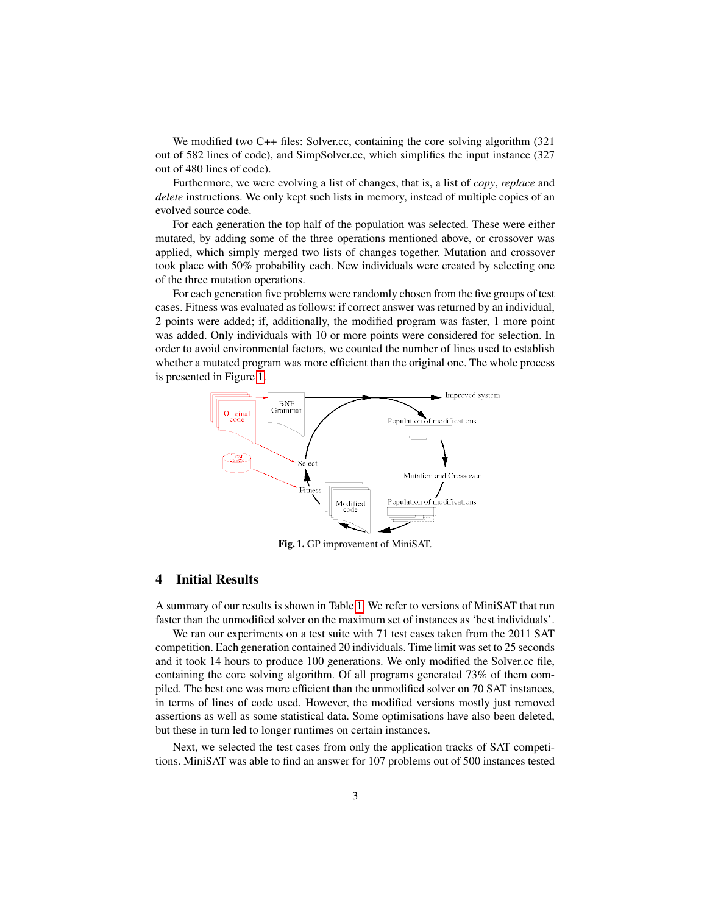We modified two C++ files: Solver.cc, containing the core solving algorithm (321) out of 582 lines of code), and SimpSolver.cc, which simplifies the input instance (327 out of 480 lines of code).

Furthermore, we were evolving a list of changes, that is, a list of *copy*, *replace* and *delete* instructions. We only kept such lists in memory, instead of multiple copies of an evolved source code.

For each generation the top half of the population was selected. These were either mutated, by adding some of the three operations mentioned above, or crossover was applied, which simply merged two lists of changes together. Mutation and crossover took place with 50% probability each. New individuals were created by selecting one of the three mutation operations.

For each generation five problems were randomly chosen from the five groups of test cases. Fitness was evaluated as follows: if correct answer was returned by an individual, 2 points were added; if, additionally, the modified program was faster, 1 more point was added. Only individuals with 10 or more points were considered for selection. In order to avoid environmental factors, we counted the number of lines used to establish whether a mutated program was more efficient than the original one. The whole process is presented in Figure [1.](#page-2-0)



<span id="page-2-0"></span>Fig. 1. GP improvement of MiniSAT.

### 4 Initial Results

A summary of our results is shown in Table [1.](#page-3-0) We refer to versions of MiniSAT that run faster than the unmodified solver on the maximum set of instances as 'best individuals'.

We ran our experiments on a test suite with 71 test cases taken from the 2011 SAT competition. Each generation contained 20 individuals. Time limit was set to 25 seconds and it took 14 hours to produce 100 generations. We only modified the Solver.cc file, containing the core solving algorithm. Of all programs generated 73% of them compiled. The best one was more efficient than the unmodified solver on 70 SAT instances, in terms of lines of code used. However, the modified versions mostly just removed assertions as well as some statistical data. Some optimisations have also been deleted, but these in turn led to longer runtimes on certain instances.

Next, we selected the test cases from only the application tracks of SAT competitions. MiniSAT was able to find an answer for 107 problems out of 500 instances tested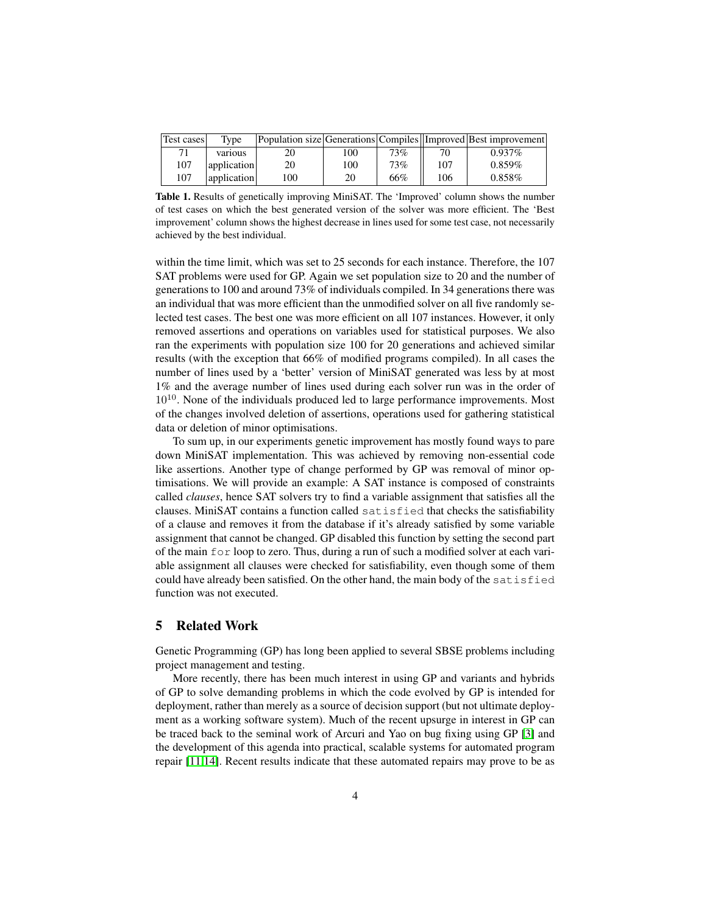<span id="page-3-0"></span>

| Test cases | Tvpe        |     |     |     |     | Population size Generations Compiles   Improved Best improvement |
|------------|-------------|-----|-----|-----|-----|------------------------------------------------------------------|
|            | various     |     | 100 | 73% | 70  | $0.937\%$                                                        |
| 107        | application | 20  | 100 | 73% | 107 | $0.859\%$                                                        |
| 107        | application | 100 | 20  | 66% | 106 | $0.858\%$                                                        |

Table 1. Results of genetically improving MiniSAT. The 'Improved' column shows the number of test cases on which the best generated version of the solver was more efficient. The 'Best improvement' column shows the highest decrease in lines used for some test case, not necessarily achieved by the best individual.

within the time limit, which was set to 25 seconds for each instance. Therefore, the 107 SAT problems were used for GP. Again we set population size to 20 and the number of generations to 100 and around 73% of individuals compiled. In 34 generations there was an individual that was more efficient than the unmodified solver on all five randomly selected test cases. The best one was more efficient on all 107 instances. However, it only removed assertions and operations on variables used for statistical purposes. We also ran the experiments with population size 100 for 20 generations and achieved similar results (with the exception that 66% of modified programs compiled). In all cases the number of lines used by a 'better' version of MiniSAT generated was less by at most 1% and the average number of lines used during each solver run was in the order of  $10^{10}$ . None of the individuals produced led to large performance improvements. Most of the changes involved deletion of assertions, operations used for gathering statistical data or deletion of minor optimisations.

To sum up, in our experiments genetic improvement has mostly found ways to pare down MiniSAT implementation. This was achieved by removing non-essential code like assertions. Another type of change performed by GP was removal of minor optimisations. We will provide an example: A SAT instance is composed of constraints called *clauses*, hence SAT solvers try to find a variable assignment that satisfies all the clauses. MiniSAT contains a function called satisfied that checks the satisfiability of a clause and removes it from the database if it's already satisfied by some variable assignment that cannot be changed. GP disabled this function by setting the second part of the main for loop to zero. Thus, during a run of such a modified solver at each variable assignment all clauses were checked for satisfiability, even though some of them could have already been satisfied. On the other hand, the main body of the satisfied function was not executed.

### 5 Related Work

Genetic Programming (GP) has long been applied to several SBSE problems including project management and testing.

More recently, there has been much interest in using GP and variants and hybrids of GP to solve demanding problems in which the code evolved by GP is intended for deployment, rather than merely as a source of decision support (but not ultimate deployment as a working software system). Much of the recent upsurge in interest in GP can be traced back to the seminal work of Arcuri and Yao on bug fixing using GP [\[3\]](#page-5-8) and the development of this agenda into practical, scalable systems for automated program repair [\[11,](#page-5-9)[14\]](#page-5-10). Recent results indicate that these automated repairs may prove to be as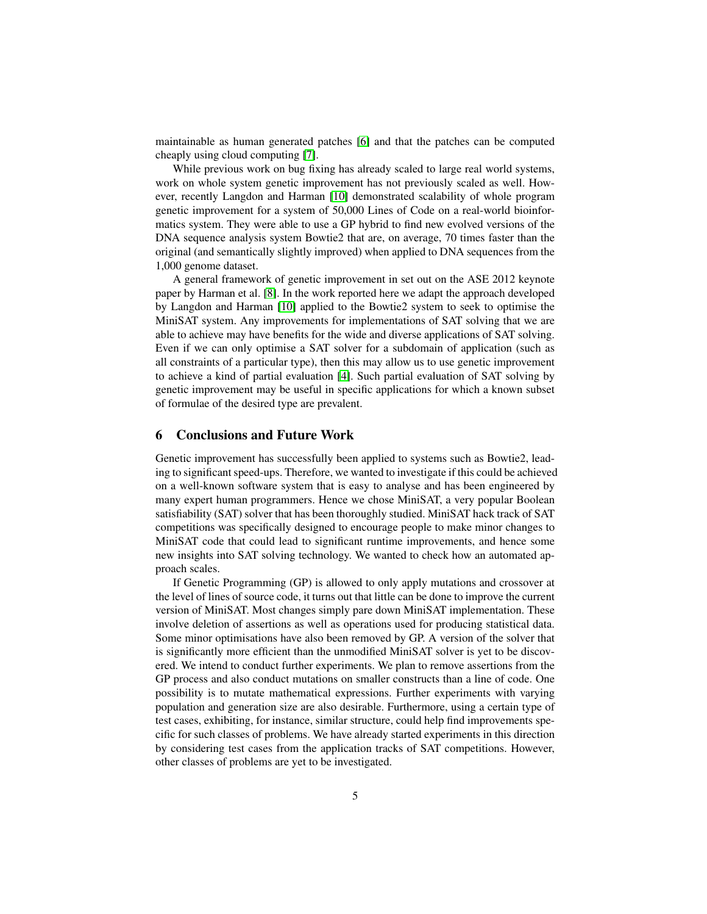maintainable as human generated patches [\[6\]](#page-5-11) and that the patches can be computed cheaply using cloud computing [\[7\]](#page-5-12).

While previous work on bug fixing has already scaled to large real world systems, work on whole system genetic improvement has not previously scaled as well. However, recently Langdon and Harman [\[10\]](#page-5-13) demonstrated scalability of whole program genetic improvement for a system of 50,000 Lines of Code on a real-world bioinformatics system. They were able to use a GP hybrid to find new evolved versions of the DNA sequence analysis system Bowtie2 that are, on average, 70 times faster than the original (and semantically slightly improved) when applied to DNA sequences from the 1,000 genome dataset.

A general framework of genetic improvement in set out on the ASE 2012 keynote paper by Harman et al. [\[8\]](#page-5-1). In the work reported here we adapt the approach developed by Langdon and Harman [\[10\]](#page-5-13) applied to the Bowtie2 system to seek to optimise the MiniSAT system. Any improvements for implementations of SAT solving that we are able to achieve may have benefits for the wide and diverse applications of SAT solving. Even if we can only optimise a SAT solver for a subdomain of application (such as all constraints of a particular type), then this may allow us to use genetic improvement to achieve a kind of partial evaluation [\[4\]](#page-5-14). Such partial evaluation of SAT solving by genetic improvement may be useful in specific applications for which a known subset of formulae of the desired type are prevalent.

#### 6 Conclusions and Future Work

Genetic improvement has successfully been applied to systems such as Bowtie2, leading to significant speed-ups. Therefore, we wanted to investigate if this could be achieved on a well-known software system that is easy to analyse and has been engineered by many expert human programmers. Hence we chose MiniSAT, a very popular Boolean satisfiability (SAT) solver that has been thoroughly studied. MiniSAT hack track of SAT competitions was specifically designed to encourage people to make minor changes to MiniSAT code that could lead to significant runtime improvements, and hence some new insights into SAT solving technology. We wanted to check how an automated approach scales.

If Genetic Programming (GP) is allowed to only apply mutations and crossover at the level of lines of source code, it turns out that little can be done to improve the current version of MiniSAT. Most changes simply pare down MiniSAT implementation. These involve deletion of assertions as well as operations used for producing statistical data. Some minor optimisations have also been removed by GP. A version of the solver that is significantly more efficient than the unmodified MiniSAT solver is yet to be discovered. We intend to conduct further experiments. We plan to remove assertions from the GP process and also conduct mutations on smaller constructs than a line of code. One possibility is to mutate mathematical expressions. Further experiments with varying population and generation size are also desirable. Furthermore, using a certain type of test cases, exhibiting, for instance, similar structure, could help find improvements specific for such classes of problems. We have already started experiments in this direction by considering test cases from the application tracks of SAT competitions. However, other classes of problems are yet to be investigated.